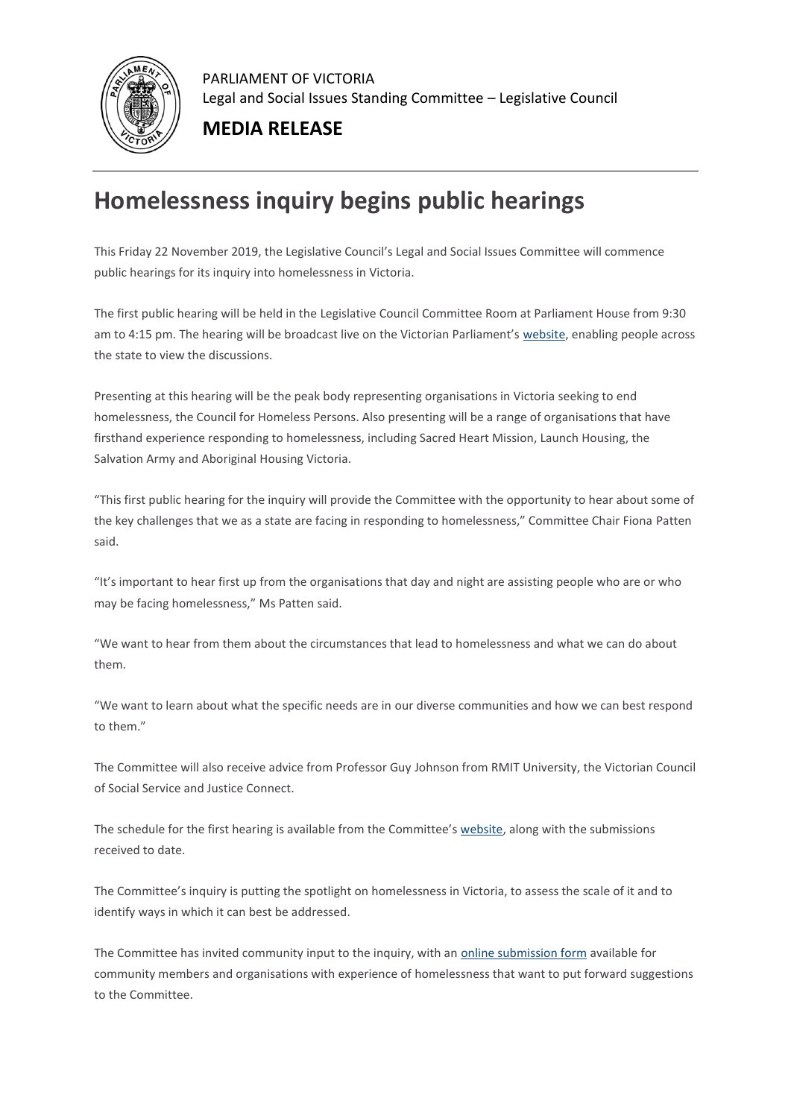

PARLIAMENT OF VICTORIA Legal and Social Issues Standing Committee – Legislative Council

**MEDIA RELEASE**

## **Homelessness inquiry begins public hearings**

This Friday 22 November 2019, the Legislative Council's Legal and Social Issues Committee will commence public hearings for its inquiry into homelessness in Victoria.

The first public hearing will be held in the Legislative Council Committee Room at Parliament House from 9:30 am to 4:15 pm. The hearing will be broadcast live on the Victorian Parliament's [website,](https://parliamentofvictoria.cmail19.com/t/t-l-nldtlid-hrdrxhyy-r/) enabling people across the state to view the discussions.

Presenting at this hearing will be the peak body representing organisations in Victoria seeking to end homelessness, the Council for Homeless Persons. Also presenting will be a range of organisations that have firsthand experience responding to homelessness, including Sacred Heart Mission, Launch Housing, the Salvation Army and Aboriginal Housing Victoria.

"This first public hearing for the inquiry will provide the Committee with the opportunity to hear about some of the key challenges that we as a state are facing in responding to homelessness," Committee Chair Fiona Patten said.

"It's important to hear first up from the organisations that day and night are assisting people who are or who may be facing homelessness," Ms Patten said.

"We want to hear from them about the circumstances that lead to homelessness and what we can do about them.

"We want to learn about what the specific needs are in our diverse communities and how we can best respond to them."

The Committee will also receive advice from Professor Guy Johnson from RMIT University, the Victorian Council of Social Service and Justice Connect.

The schedule for the first hearing is available from the Committee's [website,](https://parliamentofvictoria.cmail19.com/t/t-l-nldtlid-hrdrxhyy-y/) along with the submissions received to date.

The Committee's inquiry is putting the spotlight on homelessness in Victoria, to assess the scale of it and to identify ways in which it can best be addressed.

The Committee has invited community input to the inquiry, with an [online submission form](https://parliamentofvictoria.cmail19.com/t/t-l-nldtlid-hrdrxhyy-j/) available for community members and organisations with experience of homelessness that want to put forward suggestions to the Committee.